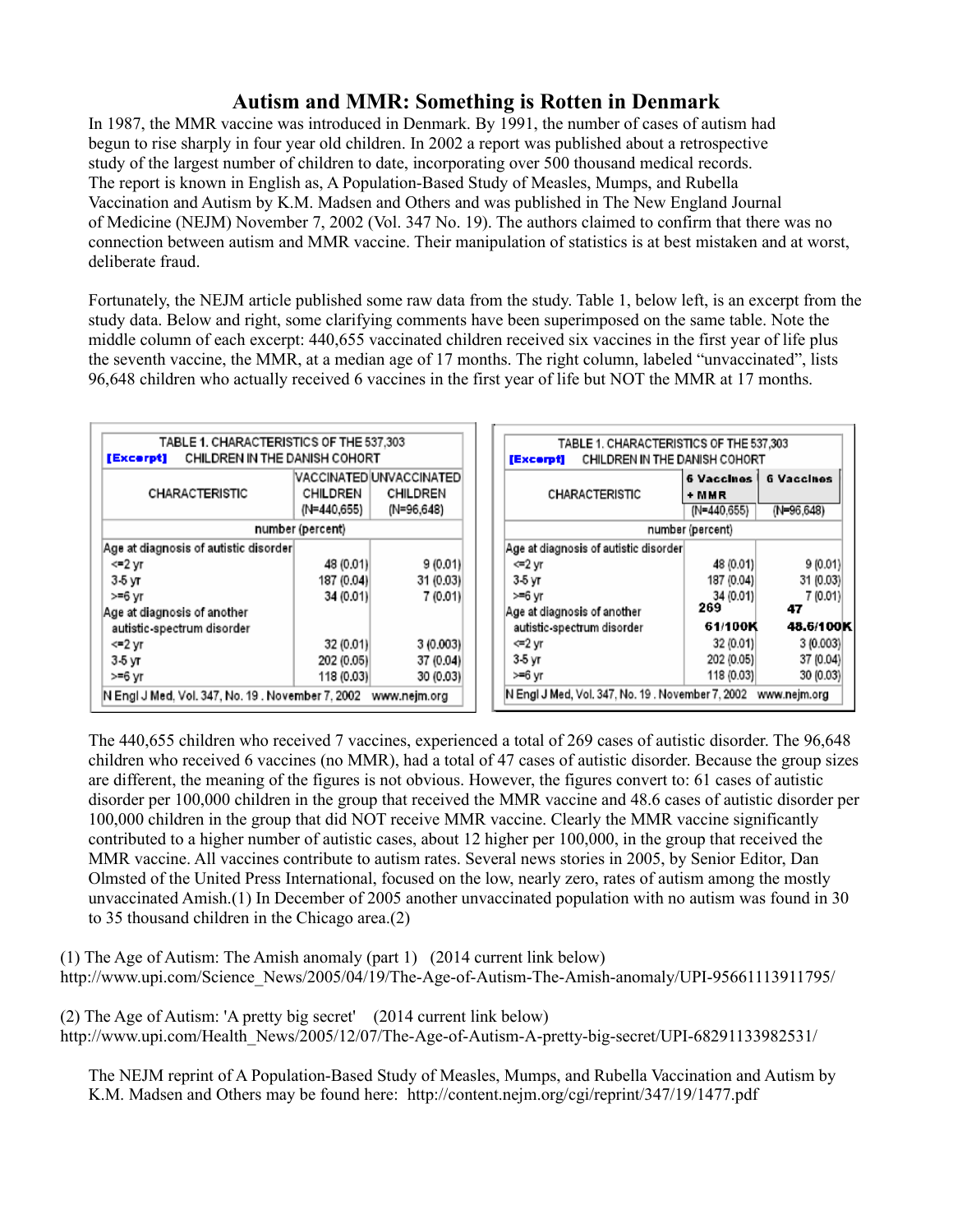## **Autism and MMR: Something is Rotten in Denmark**

In 1987, the MMR vaccine was introduced in Denmark. By 1991, the number of cases of autism had begun to rise sharply in four year old children. In 2002 a report was published about a retrospective study of the largest number of children to date, incorporating over 500 thousand medical records. The report is known in English as, A Population-Based Study of Measles, Mumps, and Rubella Vaccination and Autism by K.M. Madsen and Others and was published in The New England Journal of Medicine (NEJM) November 7, 2002 (Vol. 347 No. 19). The authors claimed to confirm that there was no connection between autism and MMR vaccine. Their manipulation of statistics is at best mistaken and at worst, deliberate fraud.

Fortunately, the NEJM article published some raw data from the study. Table 1, below left, is an excerpt from the study data. Below and right, some clarifying comments have been superimposed on the same table. Note the middle column of each excerpt: 440,655 vaccinated children received six vaccines in the first year of life plus the seventh vaccine, the MMR, at a median age of 17 months. The right column, labeled "unvaccinated", lists 96,648 children who actually received 6 vaccines in the first year of life but NOT the MMR at 17 months.

| TABLE 1. CHARACTERISTICS OF THE 537,303<br>CHILDREN IN THE DANISH COHORT<br>[Excerpt]                                                  |                         |                                                    |        | TABLE 1. CHARACTERISTICS OF THE 537,303<br>CHILDREN IN THE DANISH COHORT |            |                                 |  |
|----------------------------------------------------------------------------------------------------------------------------------------|-------------------------|----------------------------------------------------|--------|--------------------------------------------------------------------------|------------|---------------------------------|--|
| <b>CHARACTERISTIC</b>                                                                                                                  | CHILDREN<br>(N=440,655) | VACCINATED UNVACCINATED <br>CHILDREN<br>(N=96,648) |        | [Excerpt]<br><b>CHARACTERISTIC</b>                                       |            | <b>6 Vaccines</b><br>(N=96,648) |  |
| number (percent)                                                                                                                       |                         |                                                    |        | (N=440.655)<br>number (percent)                                          |            |                                 |  |
| Age at diagnosis of autistic disorder                                                                                                  |                         |                                                    |        | Age at diagnosis of autistic disorder                                    |            |                                 |  |
| <=2 yr                                                                                                                                 | 48 (0.01)               | 9(0.01)                                            | <=2 yr |                                                                          | 48 (0.01)  | 9(0.01)                         |  |
| $3-5yr$                                                                                                                                | 187 (0.04)              | 31 (0.03)                                          | 3-5 yr |                                                                          | 187 (0.04) | 31 (0.03)                       |  |
| >=6 vr                                                                                                                                 | 34 (0.01)               | 7(0.01)                                            | ≻=6 vr |                                                                          | 34 (0.01)  | 7 (0.01)                        |  |
| Age at diagnosis of another                                                                                                            |                         |                                                    |        | Age at diagnosis of another                                              | 269        | 47                              |  |
| autistic-spectrum disorder                                                                                                             |                         |                                                    |        | autistic-spectrum disorder                                               | 61/100K    | 48.6/100K                       |  |
| <=2 vr                                                                                                                                 | 32 (0.01)               | 3(0.003)                                           | <=2 vr |                                                                          | 32 (0.01)  | 3(0.003)                        |  |
| $3-5yr$                                                                                                                                | 202 (0.05)              | 37 (0.04)                                          | 3-5 yr |                                                                          | 202 (0.05) | 37 (0.04)                       |  |
| >=6 yr                                                                                                                                 | 118 (0.03)              | 30 (0.03)                                          | ≻=6 yr |                                                                          | 118 (0.03) | 30 (0.03)                       |  |
| N Engl J Med, Vol. 347, No. 19 . November 7, 2002<br>N Engl J Med. Vol. 347, No. 19 . November 7, 2002<br>www.nejm.org<br>www.nejm.org |                         |                                                    |        |                                                                          |            |                                 |  |

The 440,655 children who received 7 vaccines, experienced a total of 269 cases of autistic disorder. The 96,648 children who received 6 vaccines (no MMR), had a total of 47 cases of autistic disorder. Because the group sizes are different, the meaning of the figures is not obvious. However, the figures convert to: 61 cases of autistic disorder per 100,000 children in the group that received the MMR vaccine and 48.6 cases of autistic disorder per 100,000 children in the group that did NOT receive MMR vaccine. Clearly the MMR vaccine significantly contributed to a higher number of autistic cases, about 12 higher per 100,000, in the group that received the MMR vaccine. All vaccines contribute to autism rates. Several news stories in 2005, by Senior Editor, Dan Olmsted of the United Press International, focused on the low, nearly zero, rates of autism among the mostly unvaccinated Amish.(1) In December of 2005 another unvaccinated population with no autism was found in 30 to 35 thousand children in the Chicago area.(2)

(1) The Age of Autism: The Amish anomaly (part 1) (2014 current link below) http://www.upi.com/Science\_News/2005/04/19/The-Age-of-Autism-The-Amish-anomaly/UPI-95661113911795/

(2) The Age of Autism: 'A pretty big secret' (2014 current link below) http://www.upi.com/Health\_News/2005/12/07/The-Age-of-Autism-A-pretty-big-secret/UPI-68291133982531/

The NEJM reprint of A Population-Based Study of Measles, Mumps, and Rubella Vaccination and Autism by K.M. Madsen and Others may be found here: http://content.nejm.org/cgi/reprint/347/19/1477.pdf